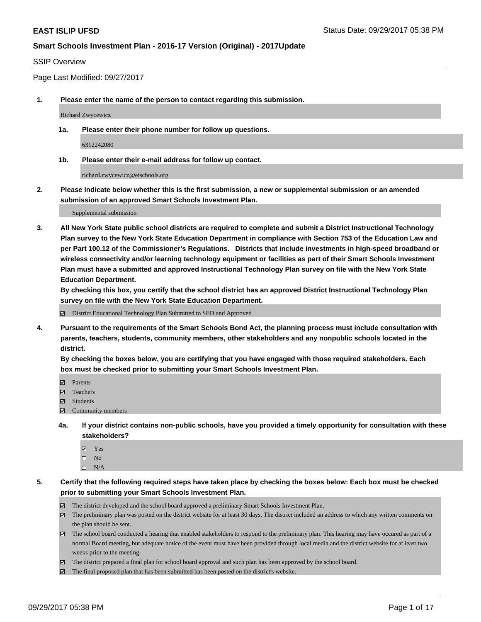### SSIP Overview

Page Last Modified: 09/27/2017

**1. Please enter the name of the person to contact regarding this submission.**

Richard Zwycewicz

**1a. Please enter their phone number for follow up questions.**

6312242080

**1b. Please enter their e-mail address for follow up contact.**

richard.zwycewicz@eischools.org

**2. Please indicate below whether this is the first submission, a new or supplemental submission or an amended submission of an approved Smart Schools Investment Plan.**

Supplemental submission

**3. All New York State public school districts are required to complete and submit a District Instructional Technology Plan survey to the New York State Education Department in compliance with Section 753 of the Education Law and per Part 100.12 of the Commissioner's Regulations. Districts that include investments in high-speed broadband or wireless connectivity and/or learning technology equipment or facilities as part of their Smart Schools Investment Plan must have a submitted and approved Instructional Technology Plan survey on file with the New York State Education Department.** 

**By checking this box, you certify that the school district has an approved District Instructional Technology Plan survey on file with the New York State Education Department.**

District Educational Technology Plan Submitted to SED and Approved

**4. Pursuant to the requirements of the Smart Schools Bond Act, the planning process must include consultation with parents, teachers, students, community members, other stakeholders and any nonpublic schools located in the district.** 

**By checking the boxes below, you are certifying that you have engaged with those required stakeholders. Each box must be checked prior to submitting your Smart Schools Investment Plan.**

- **マ** Parents
- Teachers
- **☑** Students
- Community members
- **4a. If your district contains non-public schools, have you provided a timely opportunity for consultation with these stakeholders?**
	- **Ø** Yes
	- $\square$  No
	- $\square$  N/A

**5. Certify that the following required steps have taken place by checking the boxes below: Each box must be checked prior to submitting your Smart Schools Investment Plan.**

- The district developed and the school board approved a preliminary Smart Schools Investment Plan.
- The preliminary plan was posted on the district website for at least 30 days. The district included an address to which any written comments on the plan should be sent.
- The school board conducted a hearing that enabled stakeholders to respond to the preliminary plan. This hearing may have occured as part of a normal Board meeting, but adequate notice of the event must have been provided through local media and the district website for at least two weeks prior to the meeting.
- The district prepared a final plan for school board approval and such plan has been approved by the school board.
- $\boxtimes$  The final proposed plan that has been submitted has been posted on the district's website.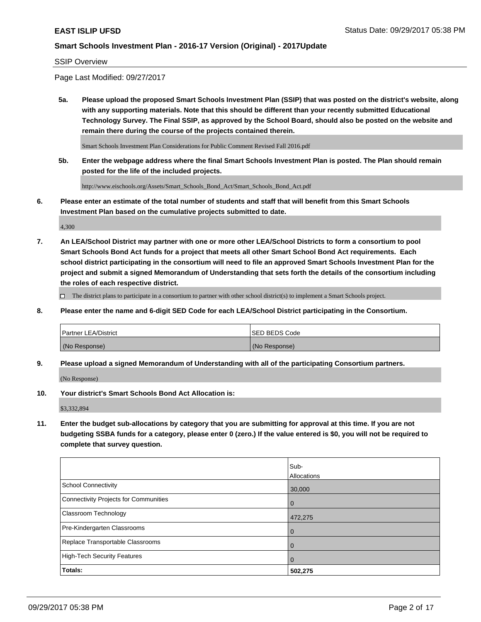#### SSIP Overview

Page Last Modified: 09/27/2017

**5a. Please upload the proposed Smart Schools Investment Plan (SSIP) that was posted on the district's website, along with any supporting materials. Note that this should be different than your recently submitted Educational Technology Survey. The Final SSIP, as approved by the School Board, should also be posted on the website and remain there during the course of the projects contained therein.**

Smart Schools Investment Plan Considerations for Public Comment Revised Fall 2016.pdf

**5b. Enter the webpage address where the final Smart Schools Investment Plan is posted. The Plan should remain posted for the life of the included projects.**

http://www.eischools.org/Assets/Smart\_Schools\_Bond\_Act/Smart\_Schools\_Bond\_Act.pdf

**6. Please enter an estimate of the total number of students and staff that will benefit from this Smart Schools Investment Plan based on the cumulative projects submitted to date.**

4,300

**7. An LEA/School District may partner with one or more other LEA/School Districts to form a consortium to pool Smart Schools Bond Act funds for a project that meets all other Smart School Bond Act requirements. Each school district participating in the consortium will need to file an approved Smart Schools Investment Plan for the project and submit a signed Memorandum of Understanding that sets forth the details of the consortium including the roles of each respective district.**

 $\Box$  The district plans to participate in a consortium to partner with other school district(s) to implement a Smart Schools project.

**8. Please enter the name and 6-digit SED Code for each LEA/School District participating in the Consortium.**

| <b>Partner LEA/District</b> | <b>ISED BEDS Code</b> |
|-----------------------------|-----------------------|
| (No Response)               | (No Response)         |

**9. Please upload a signed Memorandum of Understanding with all of the participating Consortium partners.**

(No Response)

**10. Your district's Smart Schools Bond Act Allocation is:**

\$3,332,894

**11. Enter the budget sub-allocations by category that you are submitting for approval at this time. If you are not budgeting SSBA funds for a category, please enter 0 (zero.) If the value entered is \$0, you will not be required to complete that survey question.**

|                                       | Sub-        |
|---------------------------------------|-------------|
|                                       | Allocations |
| <b>School Connectivity</b>            | 30,000      |
| Connectivity Projects for Communities | 0           |
| <b>Classroom Technology</b>           | 472,275     |
| Pre-Kindergarten Classrooms           | 0           |
| Replace Transportable Classrooms      | 0           |
| <b>High-Tech Security Features</b>    | 0           |
| Totals:                               | 502,275     |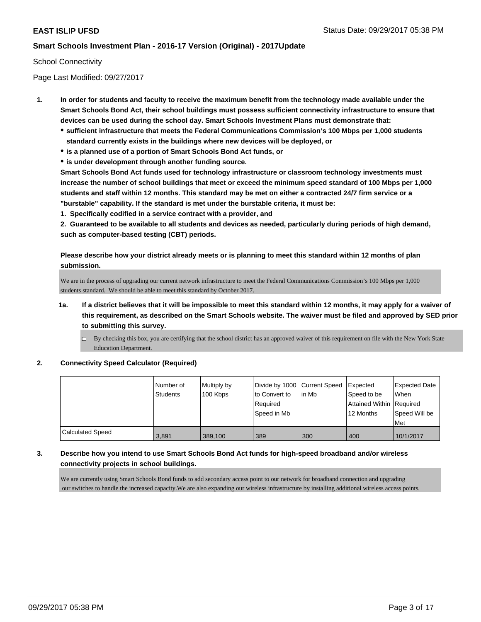### School Connectivity

Page Last Modified: 09/27/2017

- **1. In order for students and faculty to receive the maximum benefit from the technology made available under the Smart Schools Bond Act, their school buildings must possess sufficient connectivity infrastructure to ensure that devices can be used during the school day. Smart Schools Investment Plans must demonstrate that:**
	- **sufficient infrastructure that meets the Federal Communications Commission's 100 Mbps per 1,000 students standard currently exists in the buildings where new devices will be deployed, or**
	- **is a planned use of a portion of Smart Schools Bond Act funds, or**
	- **is under development through another funding source.**

**Smart Schools Bond Act funds used for technology infrastructure or classroom technology investments must increase the number of school buildings that meet or exceed the minimum speed standard of 100 Mbps per 1,000 students and staff within 12 months. This standard may be met on either a contracted 24/7 firm service or a "burstable" capability. If the standard is met under the burstable criteria, it must be:**

**1. Specifically codified in a service contract with a provider, and**

**2. Guaranteed to be available to all students and devices as needed, particularly during periods of high demand, such as computer-based testing (CBT) periods.**

**Please describe how your district already meets or is planning to meet this standard within 12 months of plan submission.**

We are in the process of upgrading our current network infrastructure to meet the Federal Communications Commission's 100 Mbps per 1,000 students standard. We should be able to meet this standard by October 2017.

- **1a. If a district believes that it will be impossible to meet this standard within 12 months, it may apply for a waiver of this requirement, as described on the Smart Schools website. The waiver must be filed and approved by SED prior to submitting this survey.**
	- By checking this box, you are certifying that the school district has an approved waiver of this requirement on file with the New York State Education Department.

### **2. Connectivity Speed Calculator (Required)**

|                         | Number of<br><b>Students</b> | Multiply by<br>100 Kbps | Divide by 1000 Current Speed<br>to Convert to<br>Required<br>Speed in Mb | in Mb | Expected<br>Speed to be<br>Attained Within   Required<br>12 Months | <b>Expected Date</b><br><b>When</b><br>Speed Will be |
|-------------------------|------------------------------|-------------------------|--------------------------------------------------------------------------|-------|--------------------------------------------------------------------|------------------------------------------------------|
|                         |                              |                         |                                                                          |       |                                                                    | Met                                                  |
| <b>Calculated Speed</b> | 3.891                        | 389.100                 | 389                                                                      | 300   | 400                                                                | 10/1/2017                                            |

### **3. Describe how you intend to use Smart Schools Bond Act funds for high-speed broadband and/or wireless connectivity projects in school buildings.**

We are currently using Smart Schools Bond funds to add secondary access point to our network for broadband connection and upgrading our switches to handle the increased capacity.We are also expanding our wireless infrastructure by installing additional wireless access points.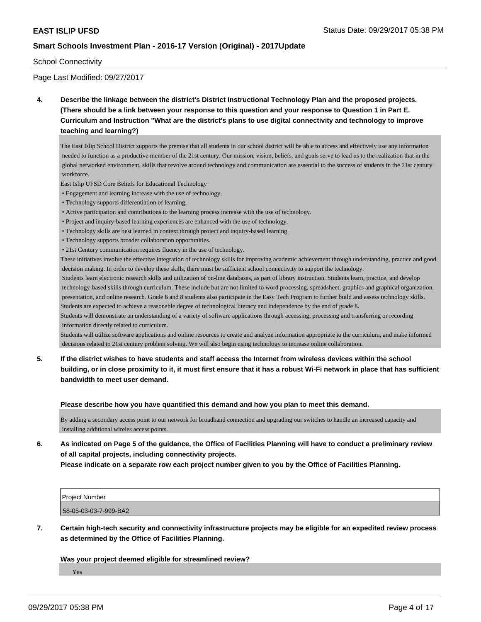### School Connectivity

Page Last Modified: 09/27/2017

**4. Describe the linkage between the district's District Instructional Technology Plan and the proposed projects. (There should be a link between your response to this question and your response to Question 1 in Part E. Curriculum and Instruction "What are the district's plans to use digital connectivity and technology to improve teaching and learning?)**

The East Islip School District supports the premise that all students in our school district will be able to access and effectively use any information needed to function as a productive member of the 21st century. Our mission, vision, beliefs, and goals serve to lead us to the realization that in the global networked environment, skills that revolve around technology and communication are essential to the success of students in the 21st century workforce.

East Islip UFSD Core Beliefs for Educational Technology

- Engagement and learning increase with the use of technology.
- Technology supports differentiation of learning.
- Active participation and contributions to the learning process increase with the use of technology.
- Project and inquiry-based learning experiences are enhanced with the use of technology.
- Technology skills are best learned in context through project and inquiry-based learning.
- Technology supports broader collaboration opportunities.
- 21st Century communication requires fluency in the use of technology.

These initiatives involve the effective integration of technology skills for improving academic achievement through understanding, practice and good decision making. In order to develop these skills, there must be sufficient school connectivity to support the technology.

 Students learn electronic research skills and utilization of on-line databases, as part of library instruction. Students learn, practice, and develop technology-based skills through curriculum. These include but are not limited to word processing, spreadsheet, graphics and graphical organization, presentation, and online research. Grade 6 and 8 students also participate in the Easy Tech Program to further build and assess technology skills. Students are expected to achieve a reasonable degree of technological literacy and independence by the end of grade 8.

Students will demonstrate an understanding of a variety of software applications through accessing, processing and transferring or recording information directly related to curriculum.

Students will utilize software applications and online resources to create and analyze information appropriate to the curriculum, and make informed decisions related to 21st century problem solving. We will also begin using technology to increase online collaboration.

**5. If the district wishes to have students and staff access the Internet from wireless devices within the school building, or in close proximity to it, it must first ensure that it has a robust Wi-Fi network in place that has sufficient bandwidth to meet user demand.**

**Please describe how you have quantified this demand and how you plan to meet this demand.**

By adding a secondary access point to our network for broadband connection and upgrading our switches to handle an increased capacity and installing additional wireles access points.

**6. As indicated on Page 5 of the guidance, the Office of Facilities Planning will have to conduct a preliminary review of all capital projects, including connectivity projects. Please indicate on a separate row each project number given to you by the Office of Facilities Planning.**

| <b>I</b> Project Number |  |  |
|-------------------------|--|--|
| 58-05-03-03-7-999-BA2   |  |  |

**7. Certain high-tech security and connectivity infrastructure projects may be eligible for an expedited review process as determined by the Office of Facilities Planning.**

### **Was your project deemed eligible for streamlined review?**

Yes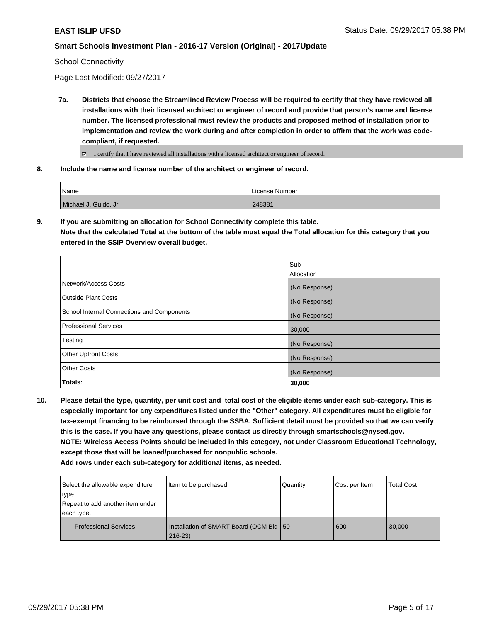School Connectivity

Page Last Modified: 09/27/2017

**7a. Districts that choose the Streamlined Review Process will be required to certify that they have reviewed all installations with their licensed architect or engineer of record and provide that person's name and license number. The licensed professional must review the products and proposed method of installation prior to implementation and review the work during and after completion in order to affirm that the work was codecompliant, if requested.**

I certify that I have reviewed all installations with a licensed architect or engineer of record.

**8. Include the name and license number of the architect or engineer of record.**

| Name                  | License Number |
|-----------------------|----------------|
| Michael J. Guido, Jr. | 248381         |

**9. If you are submitting an allocation for School Connectivity complete this table. Note that the calculated Total at the bottom of the table must equal the Total allocation for this category that you entered in the SSIP Overview overall budget.** 

|                                            | Sub-<br>Allocation |
|--------------------------------------------|--------------------|
| Network/Access Costs                       | (No Response)      |
| <b>Outside Plant Costs</b>                 | (No Response)      |
| School Internal Connections and Components | (No Response)      |
| <b>Professional Services</b>               | 30,000             |
| Testing                                    | (No Response)      |
| <b>Other Upfront Costs</b>                 | (No Response)      |
| <b>Other Costs</b>                         | (No Response)      |
| Totals:                                    | 30,000             |

**10. Please detail the type, quantity, per unit cost and total cost of the eligible items under each sub-category. This is especially important for any expenditures listed under the "Other" category. All expenditures must be eligible for tax-exempt financing to be reimbursed through the SSBA. Sufficient detail must be provided so that we can verify this is the case. If you have any questions, please contact us directly through smartschools@nysed.gov. NOTE: Wireless Access Points should be included in this category, not under Classroom Educational Technology, except those that will be loaned/purchased for nonpublic schools.**

| Select the allowable expenditure | Item to be purchased                                    | Quantity | Cost per Item | <b>Total Cost</b> |
|----------------------------------|---------------------------------------------------------|----------|---------------|-------------------|
| type.                            |                                                         |          |               |                   |
| Repeat to add another item under |                                                         |          |               |                   |
| each type.                       |                                                         |          |               |                   |
| <b>Professional Services</b>     | Installation of SMART Board (OCM Bid   50<br>$216 - 23$ |          | 600           | 30,000            |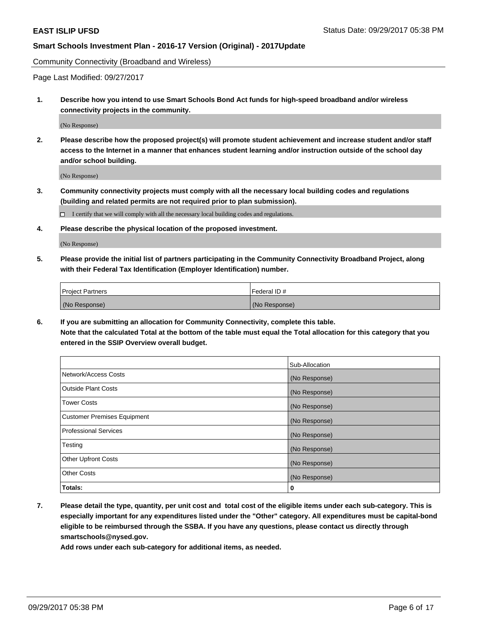Community Connectivity (Broadband and Wireless)

Page Last Modified: 09/27/2017

**1. Describe how you intend to use Smart Schools Bond Act funds for high-speed broadband and/or wireless connectivity projects in the community.**

(No Response)

**2. Please describe how the proposed project(s) will promote student achievement and increase student and/or staff access to the Internet in a manner that enhances student learning and/or instruction outside of the school day and/or school building.**

(No Response)

**3. Community connectivity projects must comply with all the necessary local building codes and regulations (building and related permits are not required prior to plan submission).**

 $\Box$  I certify that we will comply with all the necessary local building codes and regulations.

**4. Please describe the physical location of the proposed investment.**

(No Response)

**5. Please provide the initial list of partners participating in the Community Connectivity Broadband Project, along with their Federal Tax Identification (Employer Identification) number.**

| <b>Project Partners</b> | Federal ID #  |
|-------------------------|---------------|
| (No Response)           | (No Response) |

**6. If you are submitting an allocation for Community Connectivity, complete this table. Note that the calculated Total at the bottom of the table must equal the Total allocation for this category that you entered in the SSIP Overview overall budget.**

|                                    | Sub-Allocation |
|------------------------------------|----------------|
| Network/Access Costs               | (No Response)  |
| <b>Outside Plant Costs</b>         | (No Response)  |
| <b>Tower Costs</b>                 | (No Response)  |
| <b>Customer Premises Equipment</b> | (No Response)  |
| <b>Professional Services</b>       | (No Response)  |
| Testing                            | (No Response)  |
| <b>Other Upfront Costs</b>         | (No Response)  |
| <b>Other Costs</b>                 | (No Response)  |
| Totals:                            | 0              |

**7. Please detail the type, quantity, per unit cost and total cost of the eligible items under each sub-category. This is especially important for any expenditures listed under the "Other" category. All expenditures must be capital-bond eligible to be reimbursed through the SSBA. If you have any questions, please contact us directly through smartschools@nysed.gov.**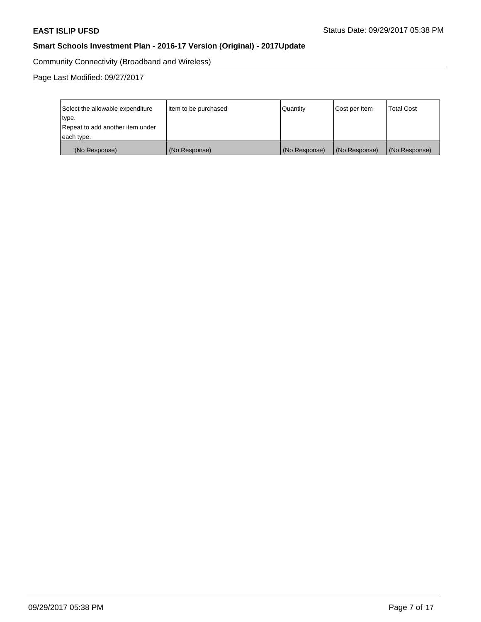Community Connectivity (Broadband and Wireless)

Page Last Modified: 09/27/2017

| Select the allowable expenditure<br>type.<br>Repeat to add another item under | Item to be purchased | Quantity      | Cost per Item | <b>Total Cost</b> |
|-------------------------------------------------------------------------------|----------------------|---------------|---------------|-------------------|
| each type.                                                                    |                      |               |               |                   |
| (No Response)                                                                 | (No Response)        | (No Response) | (No Response) | (No Response)     |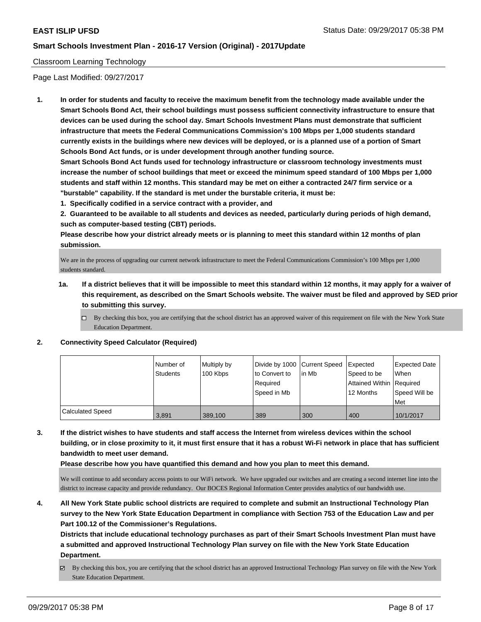### Classroom Learning Technology

Page Last Modified: 09/27/2017

**1. In order for students and faculty to receive the maximum benefit from the technology made available under the Smart Schools Bond Act, their school buildings must possess sufficient connectivity infrastructure to ensure that devices can be used during the school day. Smart Schools Investment Plans must demonstrate that sufficient infrastructure that meets the Federal Communications Commission's 100 Mbps per 1,000 students standard currently exists in the buildings where new devices will be deployed, or is a planned use of a portion of Smart Schools Bond Act funds, or is under development through another funding source.**

**Smart Schools Bond Act funds used for technology infrastructure or classroom technology investments must increase the number of school buildings that meet or exceed the minimum speed standard of 100 Mbps per 1,000 students and staff within 12 months. This standard may be met on either a contracted 24/7 firm service or a "burstable" capability. If the standard is met under the burstable criteria, it must be:**

**1. Specifically codified in a service contract with a provider, and**

**2. Guaranteed to be available to all students and devices as needed, particularly during periods of high demand, such as computer-based testing (CBT) periods.**

**Please describe how your district already meets or is planning to meet this standard within 12 months of plan submission.**

We are in the process of upgrading our current network infrastructure to meet the Federal Communications Commission's 100 Mbps per 1,000 students standard.

- **1a. If a district believes that it will be impossible to meet this standard within 12 months, it may apply for a waiver of this requirement, as described on the Smart Schools website. The waiver must be filed and approved by SED prior to submitting this survey.**
	- $\Box$  By checking this box, you are certifying that the school district has an approved waiver of this requirement on file with the New York State Education Department.

### **2. Connectivity Speed Calculator (Required)**

|                         | I Number of<br><b>Students</b> | Multiply by<br>100 Kbps | Divide by 1000 Current Speed<br>to Convert to<br>Reauired<br>l Speed in Mb | lin Mb | Expected<br>Speed to be<br>Attained Within Required<br>12 Months | Expected Date<br>When<br>Speed Will be<br><b>Met</b> |
|-------------------------|--------------------------------|-------------------------|----------------------------------------------------------------------------|--------|------------------------------------------------------------------|------------------------------------------------------|
| <b>Calculated Speed</b> | 3,891                          | 389,100                 | 389                                                                        | 300    | 400                                                              | 10/1/2017                                            |

**3. If the district wishes to have students and staff access the Internet from wireless devices within the school building, or in close proximity to it, it must first ensure that it has a robust Wi-Fi network in place that has sufficient bandwidth to meet user demand.**

**Please describe how you have quantified this demand and how you plan to meet this demand.**

We will continue to add secondary access points to our WiFi network. We have upgraded our switches and are creating a second internet line into the district to increase capacity and provide redundancy. Our BOCES Regional Information Center provides analytics of our bandwidth use.

**4. All New York State public school districts are required to complete and submit an Instructional Technology Plan survey to the New York State Education Department in compliance with Section 753 of the Education Law and per Part 100.12 of the Commissioner's Regulations.**

**Districts that include educational technology purchases as part of their Smart Schools Investment Plan must have a submitted and approved Instructional Technology Plan survey on file with the New York State Education Department.**

 $\boxtimes$  By checking this box, you are certifying that the school district has an approved Instructional Technology Plan survey on file with the New York State Education Department.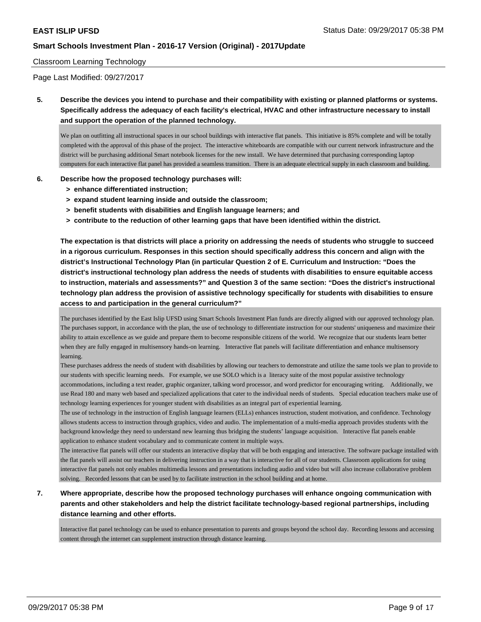### Classroom Learning Technology

Page Last Modified: 09/27/2017

**5. Describe the devices you intend to purchase and their compatibility with existing or planned platforms or systems. Specifically address the adequacy of each facility's electrical, HVAC and other infrastructure necessary to install and support the operation of the planned technology.**

We plan on outfitting all instructional spaces in our school buildings with interactive flat panels. This initiative is 85% complete and will be totally completed with the approval of this phase of the project. The interactive whiteboards are compatible with our current network infrastructure and the district will be purchasing additional Smart notebook licenses for the new install. We have determined that purchasing corresponding laptop computers for each interactive flat panel has provided a seamless transition. There is an adequate electrical supply in each classroom and building.

### **6. Describe how the proposed technology purchases will:**

- **> enhance differentiated instruction;**
- **> expand student learning inside and outside the classroom;**
- **> benefit students with disabilities and English language learners; and**
- **> contribute to the reduction of other learning gaps that have been identified within the district.**

**The expectation is that districts will place a priority on addressing the needs of students who struggle to succeed in a rigorous curriculum. Responses in this section should specifically address this concern and align with the district's Instructional Technology Plan (in particular Question 2 of E. Curriculum and Instruction: "Does the district's instructional technology plan address the needs of students with disabilities to ensure equitable access to instruction, materials and assessments?" and Question 3 of the same section: "Does the district's instructional technology plan address the provision of assistive technology specifically for students with disabilities to ensure access to and participation in the general curriculum?"**

The purchases identified by the East Islip UFSD using Smart Schools Investment Plan funds are directly aligned with our approved technology plan. The purchases support, in accordance with the plan, the use of technology to differentiate instruction for our students' uniqueness and maximize their ability to attain excellence as we guide and prepare them to become responsible citizens of the world. We recognize that our students learn better when they are fully engaged in multisensory hands-on learning. Interactive flat panels will facilitate differentiation and enhance multisensory learning.

These purchases address the needs of student with disabilities by allowing our teachers to demonstrate and utilize the same tools we plan to provide to our students with specific learning needs. For example, we use SOLO which is a literacy suite of the most popular assistive technology accommodations, including a text reader, graphic organizer, talking word processor, and word predictor for encouraging writing. Additionally, we use Read 180 and many web based and specialized applications that cater to the individual needs of students. Special education teachers make use of technology learning experiences for younger student with disabilities as an integral part of experiential learning.

The use of technology in the instruction of English language learners (ELLs) enhances instruction, student motivation, and confidence. Technology allows students access to instruction through graphics, video and audio. The implementation of a multi-media approach provides students with the background knowledge they need to understand new learning thus bridging the students' language acquisition. Interactive flat panels enable application to enhance student vocabulary and to communicate content in multiple ways.

The interactive flat panels will offer our students an interactive display that will be both engaging and interactive. The software package installed with the flat panels will assist our teachers in delivering instruction in a way that is interactive for all of our students. Classroom applications for using interactive flat panels not only enables multimedia lessons and presentations including audio and video but will also increase collaborative problem solving. Recorded lessons that can be used by to facilitate instruction in the school building and at home.

## **7. Where appropriate, describe how the proposed technology purchases will enhance ongoing communication with parents and other stakeholders and help the district facilitate technology-based regional partnerships, including distance learning and other efforts.**

Interactive flat panel technology can be used to enhance presentation to parents and groups beyond the school day. Recording lessons and accessing content through the internet can supplement instruction through distance learning.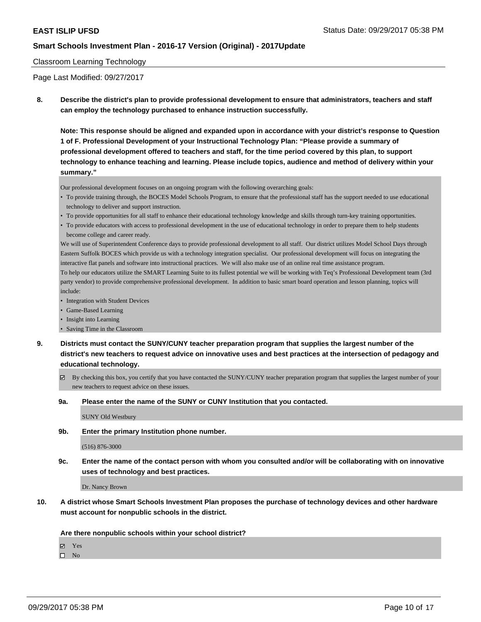### Classroom Learning Technology

Page Last Modified: 09/27/2017

**8. Describe the district's plan to provide professional development to ensure that administrators, teachers and staff can employ the technology purchased to enhance instruction successfully.**

**Note: This response should be aligned and expanded upon in accordance with your district's response to Question 1 of F. Professional Development of your Instructional Technology Plan: "Please provide a summary of professional development offered to teachers and staff, for the time period covered by this plan, to support technology to enhance teaching and learning. Please include topics, audience and method of delivery within your summary."**

Our professional development focuses on an ongoing program with the following overarching goals:

- To provide training through, the BOCES Model Schools Program, to ensure that the professional staff has the support needed to use educational technology to deliver and support instruction.
- To provide opportunities for all staff to enhance their educational technology knowledge and skills through turn-key training opportunities.
- To provide educators with access to professional development in the use of educational technology in order to prepare them to help students become college and career ready.

We will use of Superintendent Conference days to provide professional development to all staff. Our district utilizes Model School Days through Eastern Suffolk BOCES which provide us with a technology integration specialist. Our professional development will focus on integrating the interactive flat panels and software into instructional practices. We will also make use of an online real time assistance program. To help our educators utilize the SMART Learning Suite to its fullest potential we will be working with Teq's Professional Development team (3rd party vendor) to provide comprehensive professional development. In addition to basic smart board operation and lesson planning, topics will include:

- Integration with Student Devices
- Game-Based Learning
- Insight into Learning
- Saving Time in the Classroom
- **9. Districts must contact the SUNY/CUNY teacher preparation program that supplies the largest number of the district's new teachers to request advice on innovative uses and best practices at the intersection of pedagogy and educational technology.**
	- $\boxtimes$  By checking this box, you certify that you have contacted the SUNY/CUNY teacher preparation program that supplies the largest number of your new teachers to request advice on these issues.
	- **9a. Please enter the name of the SUNY or CUNY Institution that you contacted.**

SUNY Old Westbury

**9b. Enter the primary Institution phone number.**

(516) 876-3000

**9c. Enter the name of the contact person with whom you consulted and/or will be collaborating with on innovative uses of technology and best practices.**

Dr. Nancy Brown

**10. A district whose Smart Schools Investment Plan proposes the purchase of technology devices and other hardware must account for nonpublic schools in the district.**

**Are there nonpublic schools within your school district?**

Yes

 $\square$  No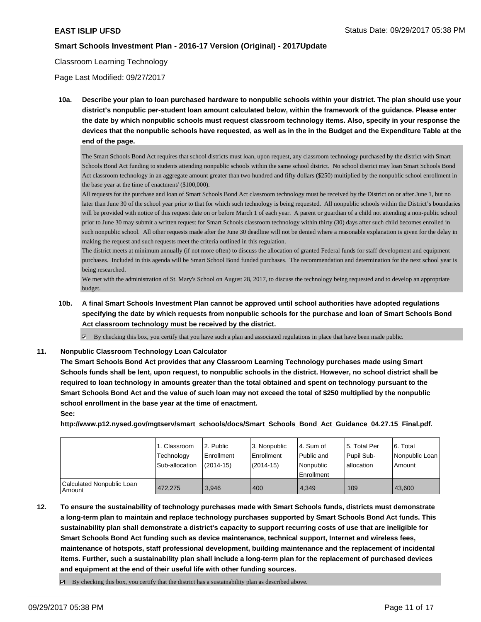### Classroom Learning Technology

Page Last Modified: 09/27/2017

**10a. Describe your plan to loan purchased hardware to nonpublic schools within your district. The plan should use your district's nonpublic per-student loan amount calculated below, within the framework of the guidance. Please enter the date by which nonpublic schools must request classroom technology items. Also, specify in your response the devices that the nonpublic schools have requested, as well as in the in the Budget and the Expenditure Table at the end of the page.**

The Smart Schools Bond Act requires that school districts must loan, upon request, any classroom technology purchased by the district with Smart Schools Bond Act funding to students attending nonpublic schools within the same school district. No school district may loan Smart Schools Bond Act classroom technology in an aggregate amount greater than two hundred and fifty dollars (\$250) multiplied by the nonpublic school enrollment in the base year at the time of enactment/ (\$100,000).

All requests for the purchase and loan of Smart Schools Bond Act classroom technology must be received by the District on or after June 1, but no later than June 30 of the school year prior to that for which such technology is being requested. All nonpublic schools within the District's boundaries will be provided with notice of this request date on or before March 1 of each year. A parent or guardian of a child not attending a non-public school prior to June 30 may submit a written request for Smart Schools classroom technology within thirty (30) days after such child becomes enrolled in such nonpublic school. All other requests made after the June 30 deadline will not be denied where a reasonable explanation is given for the delay in making the request and such requests meet the criteria outlined in this regulation.

The district meets at minimum annually (if not more often) to discuss the allocation of granted Federal funds for staff development and equipment purchases. Included in this agenda will be Smart School Bond funded purchases. The recommendation and determination for the next school year is being researched.

We met with the administration of St. Mary's School on August 28, 2017, to discuss the technology being requested and to develop an appropriate budget.

**10b. A final Smart Schools Investment Plan cannot be approved until school authorities have adopted regulations specifying the date by which requests from nonpublic schools for the purchase and loan of Smart Schools Bond Act classroom technology must be received by the district.**

 $\boxtimes$  By checking this box, you certify that you have such a plan and associated regulations in place that have been made public.

#### **11. Nonpublic Classroom Technology Loan Calculator**

**The Smart Schools Bond Act provides that any Classroom Learning Technology purchases made using Smart Schools funds shall be lent, upon request, to nonpublic schools in the district. However, no school district shall be required to loan technology in amounts greater than the total obtained and spent on technology pursuant to the Smart Schools Bond Act and the value of such loan may not exceed the total of \$250 multiplied by the nonpublic school enrollment in the base year at the time of enactment.**

**See:**

**http://www.p12.nysed.gov/mgtserv/smart\_schools/docs/Smart\_Schools\_Bond\_Act\_Guidance\_04.27.15\_Final.pdf.**

|                                     | 1. Classroom<br>Technology<br>Sub-allocation | 12. Public<br>Enrollment<br>(2014-15) | 3. Nonpublic<br>l Enrollment<br>$(2014 - 15)$ | l 4. Sum of<br>Public and<br>l Nonpublic<br>l Enrollment | 15. Total Per<br>Pupil Sub-<br>l allocation | 6. Total<br>Nonpublic Loan<br>Amount |
|-------------------------------------|----------------------------------------------|---------------------------------------|-----------------------------------------------|----------------------------------------------------------|---------------------------------------------|--------------------------------------|
| Calculated Nonpublic Loan<br>Amount | 472.275                                      | 3.946                                 | 400                                           | 4.349                                                    | 109                                         | 43.600                               |

**12. To ensure the sustainability of technology purchases made with Smart Schools funds, districts must demonstrate a long-term plan to maintain and replace technology purchases supported by Smart Schools Bond Act funds. This sustainability plan shall demonstrate a district's capacity to support recurring costs of use that are ineligible for Smart Schools Bond Act funding such as device maintenance, technical support, Internet and wireless fees, maintenance of hotspots, staff professional development, building maintenance and the replacement of incidental items. Further, such a sustainability plan shall include a long-term plan for the replacement of purchased devices and equipment at the end of their useful life with other funding sources.**

 $\boxtimes$  By checking this box, you certify that the district has a sustainability plan as described above.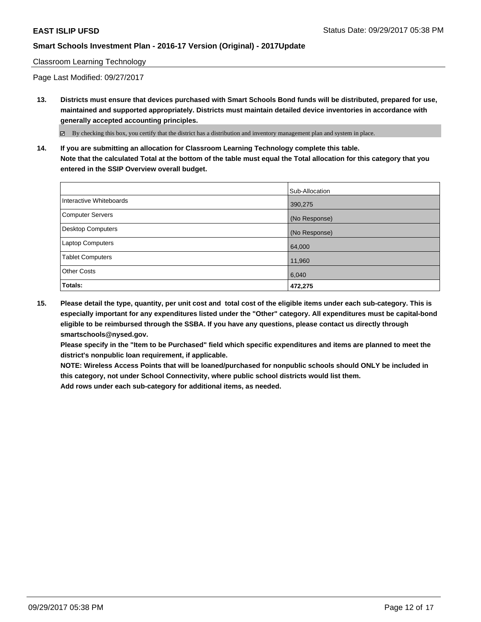### Classroom Learning Technology

Page Last Modified: 09/27/2017

**13. Districts must ensure that devices purchased with Smart Schools Bond funds will be distributed, prepared for use, maintained and supported appropriately. Districts must maintain detailed device inventories in accordance with generally accepted accounting principles.**

By checking this box, you certify that the district has a distribution and inventory management plan and system in place.

**14. If you are submitting an allocation for Classroom Learning Technology complete this table. Note that the calculated Total at the bottom of the table must equal the Total allocation for this category that you entered in the SSIP Overview overall budget.**

|                         | Sub-Allocation |
|-------------------------|----------------|
| Interactive Whiteboards | 390,275        |
| Computer Servers        | (No Response)  |
| Desktop Computers       | (No Response)  |
| Laptop Computers        | 64,000         |
| <b>Tablet Computers</b> | 11,960         |
| <b>Other Costs</b>      | 6,040          |
| Totals:                 | 472,275        |

**15. Please detail the type, quantity, per unit cost and total cost of the eligible items under each sub-category. This is especially important for any expenditures listed under the "Other" category. All expenditures must be capital-bond eligible to be reimbursed through the SSBA. If you have any questions, please contact us directly through smartschools@nysed.gov.**

**Please specify in the "Item to be Purchased" field which specific expenditures and items are planned to meet the district's nonpublic loan requirement, if applicable.**

**NOTE: Wireless Access Points that will be loaned/purchased for nonpublic schools should ONLY be included in this category, not under School Connectivity, where public school districts would list them.**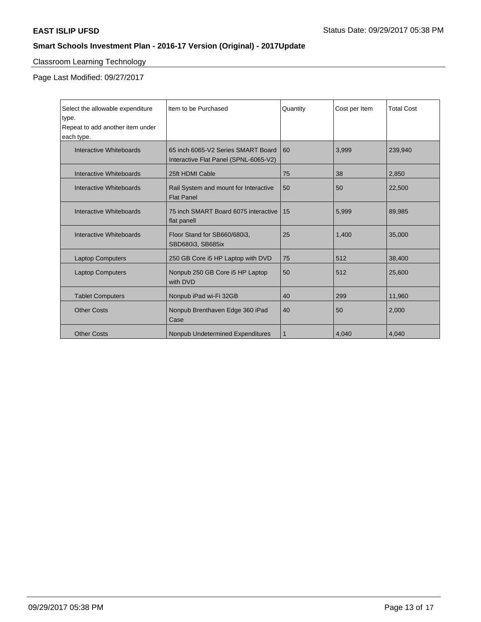# Classroom Learning Technology

Page Last Modified: 09/27/2017

| Select the allowable expenditure<br>type.<br>Repeat to add another item under<br>each type. | Item to be Purchased                                                        | Quantity | Cost per Item | <b>Total Cost</b> |
|---------------------------------------------------------------------------------------------|-----------------------------------------------------------------------------|----------|---------------|-------------------|
| Interactive Whiteboards                                                                     | 65 inch 6065-V2 Series SMART Board<br>Interactive Flat Panel (SPNL-6065-V2) | 60       | 3,999         | 239.940           |
| Interactive Whiteboards                                                                     | 25ft HDMI Cable                                                             | 75       | 38            | 2,850             |
| Interactive Whiteboards                                                                     | Rail System and mount for Interactive<br><b>Flat Panel</b>                  | 50       | 50            | 22,500            |
| Interactive Whiteboards                                                                     | 75 inch SMART Board 6075 interactive<br>flat panell                         | 15       | 5,999         | 89,985            |
| Interactive Whiteboards                                                                     | Floor Stand for SB660/680i3,<br>SBD680i3, SB685ix                           | 25       | 1.400         | 35,000            |
| <b>Laptop Computers</b>                                                                     | 250 GB Core i5 HP Laptop with DVD                                           | 75       | 512           | 38,400            |
| <b>Laptop Computers</b>                                                                     | Nonpub 250 GB Core i5 HP Laptop<br>with DVD                                 | 50       | 512           | 25,600            |
| <b>Tablet Computers</b>                                                                     | Nonpub iPad wi-Fi 32GB                                                      | 40       | 299           | 11,960            |
| <b>Other Costs</b>                                                                          | Nonpub Brenthaven Edge 360 iPad<br>Case                                     | 40       | 50            | 2,000             |
| <b>Other Costs</b>                                                                          | <b>Nonpub Undetermined Expenditures</b>                                     | 1        | 4,040         | 4,040             |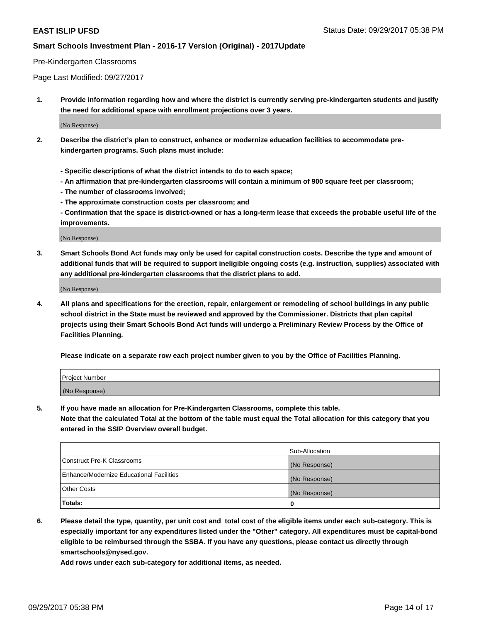### Pre-Kindergarten Classrooms

Page Last Modified: 09/27/2017

**1. Provide information regarding how and where the district is currently serving pre-kindergarten students and justify the need for additional space with enrollment projections over 3 years.**

(No Response)

- **2. Describe the district's plan to construct, enhance or modernize education facilities to accommodate prekindergarten programs. Such plans must include:**
	- **Specific descriptions of what the district intends to do to each space;**
	- **An affirmation that pre-kindergarten classrooms will contain a minimum of 900 square feet per classroom;**
	- **The number of classrooms involved;**
	- **The approximate construction costs per classroom; and**
	- **Confirmation that the space is district-owned or has a long-term lease that exceeds the probable useful life of the improvements.**

(No Response)

**3. Smart Schools Bond Act funds may only be used for capital construction costs. Describe the type and amount of additional funds that will be required to support ineligible ongoing costs (e.g. instruction, supplies) associated with any additional pre-kindergarten classrooms that the district plans to add.**

(No Response)

**4. All plans and specifications for the erection, repair, enlargement or remodeling of school buildings in any public school district in the State must be reviewed and approved by the Commissioner. Districts that plan capital projects using their Smart Schools Bond Act funds will undergo a Preliminary Review Process by the Office of Facilities Planning.**

**Please indicate on a separate row each project number given to you by the Office of Facilities Planning.**

| Project Number |  |
|----------------|--|
| (No Response)  |  |

**5. If you have made an allocation for Pre-Kindergarten Classrooms, complete this table.**

**Note that the calculated Total at the bottom of the table must equal the Total allocation for this category that you entered in the SSIP Overview overall budget.**

|                                          | Sub-Allocation |
|------------------------------------------|----------------|
| Construct Pre-K Classrooms               | (No Response)  |
| Enhance/Modernize Educational Facilities | (No Response)  |
| <b>Other Costs</b>                       | (No Response)  |
| <b>Totals:</b>                           | 0              |

**6. Please detail the type, quantity, per unit cost and total cost of the eligible items under each sub-category. This is especially important for any expenditures listed under the "Other" category. All expenditures must be capital-bond eligible to be reimbursed through the SSBA. If you have any questions, please contact us directly through smartschools@nysed.gov.**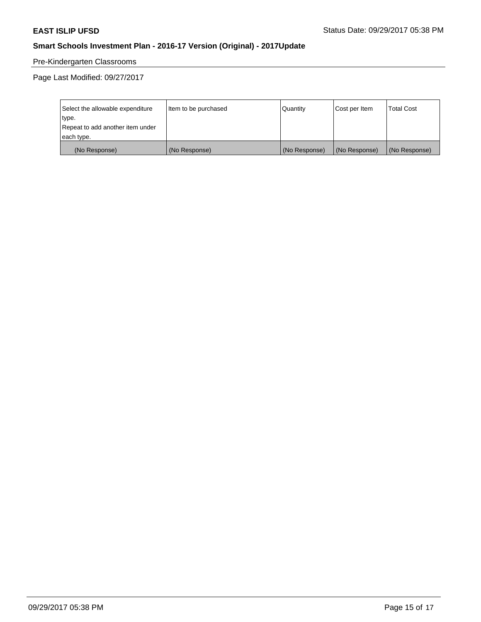# Pre-Kindergarten Classrooms

Page Last Modified: 09/27/2017

| Select the allowable expenditure | Item to be purchased | Quantity      | Cost per Item | <b>Total Cost</b> |
|----------------------------------|----------------------|---------------|---------------|-------------------|
| type.                            |                      |               |               |                   |
| Repeat to add another item under |                      |               |               |                   |
| each type.                       |                      |               |               |                   |
| (No Response)                    | (No Response)        | (No Response) | (No Response) | (No Response)     |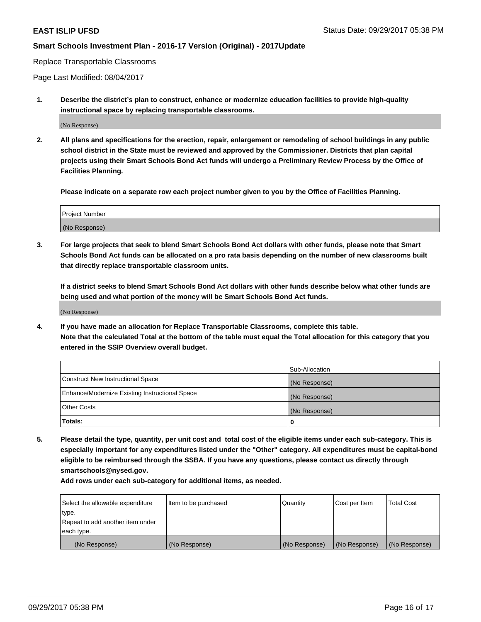Replace Transportable Classrooms

Page Last Modified: 08/04/2017

**1. Describe the district's plan to construct, enhance or modernize education facilities to provide high-quality instructional space by replacing transportable classrooms.**

(No Response)

**2. All plans and specifications for the erection, repair, enlargement or remodeling of school buildings in any public school district in the State must be reviewed and approved by the Commissioner. Districts that plan capital projects using their Smart Schools Bond Act funds will undergo a Preliminary Review Process by the Office of Facilities Planning.**

**Please indicate on a separate row each project number given to you by the Office of Facilities Planning.**

| <b>Project Number</b> |  |
|-----------------------|--|
| (No Response)         |  |

**3. For large projects that seek to blend Smart Schools Bond Act dollars with other funds, please note that Smart Schools Bond Act funds can be allocated on a pro rata basis depending on the number of new classrooms built that directly replace transportable classroom units.**

**If a district seeks to blend Smart Schools Bond Act dollars with other funds describe below what other funds are being used and what portion of the money will be Smart Schools Bond Act funds.**

(No Response)

**4. If you have made an allocation for Replace Transportable Classrooms, complete this table. Note that the calculated Total at the bottom of the table must equal the Total allocation for this category that you entered in the SSIP Overview overall budget.**

|                                                | Sub-Allocation |
|------------------------------------------------|----------------|
| Construct New Instructional Space              | (No Response)  |
| Enhance/Modernize Existing Instructional Space | (No Response)  |
| <b>Other Costs</b>                             | (No Response)  |
| Totals:                                        | 0              |

**5. Please detail the type, quantity, per unit cost and total cost of the eligible items under each sub-category. This is especially important for any expenditures listed under the "Other" category. All expenditures must be capital-bond eligible to be reimbursed through the SSBA. If you have any questions, please contact us directly through smartschools@nysed.gov.**

| Select the allowable expenditure<br>type.<br>Repeat to add another item under<br>each type. | Item to be purchased | Quantity      | Cost per Item | <b>Total Cost</b> |
|---------------------------------------------------------------------------------------------|----------------------|---------------|---------------|-------------------|
|                                                                                             |                      |               |               |                   |
| (No Response)                                                                               | (No Response)        | (No Response) | (No Response) | (No Response)     |